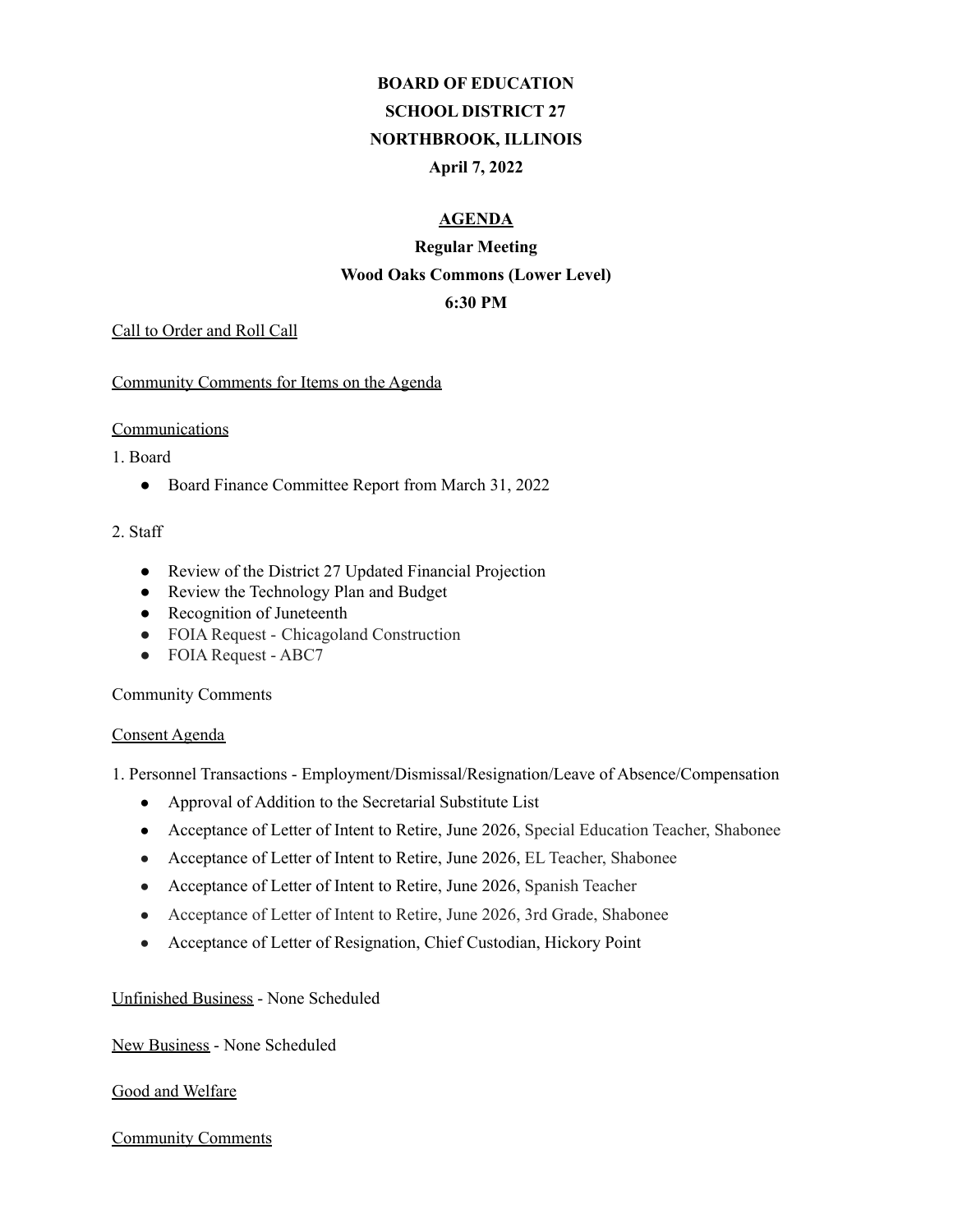# **BOARD OF EDUCATION SCHOOL DISTRICT 27 NORTHBROOK, ILLINOIS April 7, 2022**

# **AGENDA**

# **Regular Meeting Wood Oaks Commons (Lower Level)**

# **6:30 PM**

#### Call to Order and Roll Call

#### Community Comments for Items on the Agenda

#### **Communications**

#### 1. Board

● Board Finance Committee Report from March 31, 2022

# 2. Staff

- Review of the District 27 Updated Financial Projection
- Review the Technology Plan and Budget
- Recognition of Juneteenth
- FOIA Request Chicagoland Construction
- FOIA Request ABC7

# Community Comments

#### Consent Agenda

1. Personnel Transactions - Employment/Dismissal/Resignation/Leave of Absence/Compensation

- Approval of Addition to the Secretarial Substitute List
- Acceptance of Letter of Intent to Retire, June 2026, Special Education Teacher, Shabonee
- Acceptance of Letter of Intent to Retire, June 2026, EL Teacher, Shabonee
- Acceptance of Letter of Intent to Retire, June 2026, Spanish Teacher
- Acceptance of Letter of Intent to Retire, June 2026, 3rd Grade, Shabonee
- Acceptance of Letter of Resignation, Chief Custodian, Hickory Point

# Unfinished Business - None Scheduled

# New Business - None Scheduled

# Good and Welfare

# Community Comments